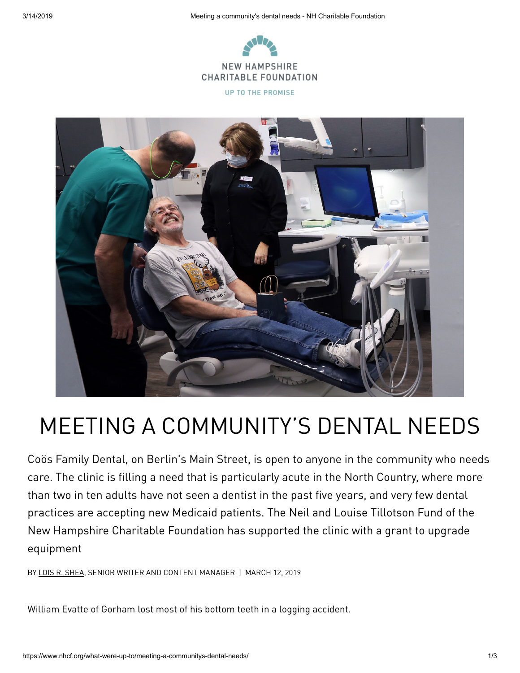

**UP TO THE PROMISE** 



## MEETING A COMMUNITY'S DENTAL NEEDS

Coös Family Dental, on Berlin's Main Street, is open to anyone in the community who needs care. The clinic is filling a need that is particularly acute in the North Country, where more than two in ten adults have not seen a dentist in the past five years, and very few dental practices are accepting new Medicaid patients. The Neil and Louise Tillotson Fund of the New Hampshire Charitable Foundation has supported the clinic with a grant to upgrade equipment

BY LOIS R. [SHEA](https://www.nhcf.org/what-were-up-to/author/lois-shea/), SENIOR WRITER AND CONTENT MANAGER | MARCH 12, 2019

William Evatte of Gorham lost most of his bottom teeth in a logging accident.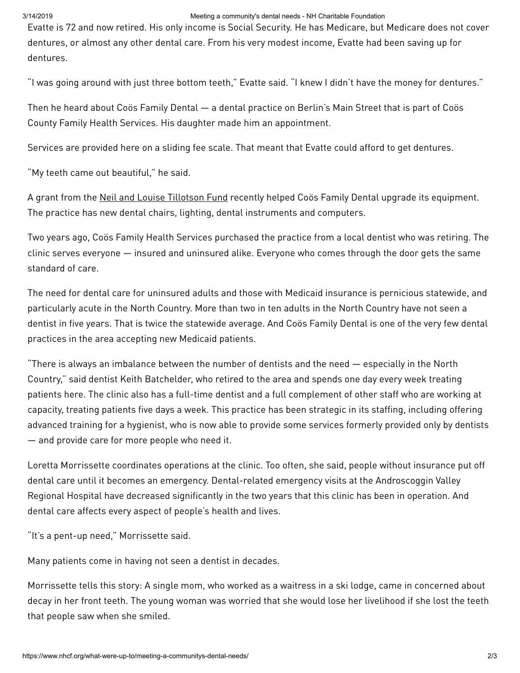## 3/14/2019 Meeting a community's dental needs - NH Charitable Foundation

Evatte is 72 and now retired. His only income is Social Security. He has Medicare, but Medicare does not cover dentures, or almost any other dental care. From his very modest income, Evatte had been saving up for dentures.

"I was going around with just three bottom teeth," Evatte said. "I knew I didn't have the money for dentures."

Then he heard about Coös Family Dental — a dental practice on Berlin's Main Street that is part of Coös County Family Health Services. His daughter made him an appointment.

Services are provided here on a sliding fee scale. That meant that Evatte could afford to get dentures.

"My teeth came out beautiful," he said.

A grant from the Neil and Louise [Tillotson](https://www.nhcf.org/what-were-up-to/focus-on/neil-and-louise-tillotson-fund/) Fund recently helped Coös Family Dental upgrade its equipment. The practice has new dental chairs, lighting, dental instruments and computers.

Two years ago, Coös Family Health Services purchased the practice from a local dentist who was retiring. The clinic serves everyone — insured and uninsured alike. Everyone who comes through the door gets the same standard of care.

The need for dental care for uninsured adults and those with Medicaid insurance is pernicious statewide, and particularly acute in the North Country. More than two in ten adults in the North Country have not seen a dentist in five years. That is twice the statewide average. And Coös Family Dental is one of the very few dental practices in the area accepting new Medicaid patients.

"There is always an imbalance between the number of dentists and the need — especially in the North Country," said dentist Keith Batchelder, who retired to the area and spends one day every week treating patients here. The clinic also has a full-time dentist and a full complement of other staff who are working at capacity, treating patients five days a week. This practice has been strategic in its staffing, including offering advanced training for a hygienist, who is now able to provide some services formerly provided only by dentists — and provide care for more people who need it.

Loretta Morrissette coordinates operations at the clinic. Too often, she said, people without insurance put off dental care until it becomes an emergency. Dental-related emergency visits at the Androscoggin Valley Regional Hospital have decreased significantly in the two years that this clinic has been in operation. And dental care affects every aspect of people's health and lives.

"It's a pent-up need," Morrissette said.

Many patients come in having not seen a dentist in decades.

Morrissette tells this story: A single mom, who worked as a waitress in a ski lodge, came in concerned about decay in her front teeth. The young woman was worried that she would lose her livelihood if she lost the teeth that people saw when she smiled.